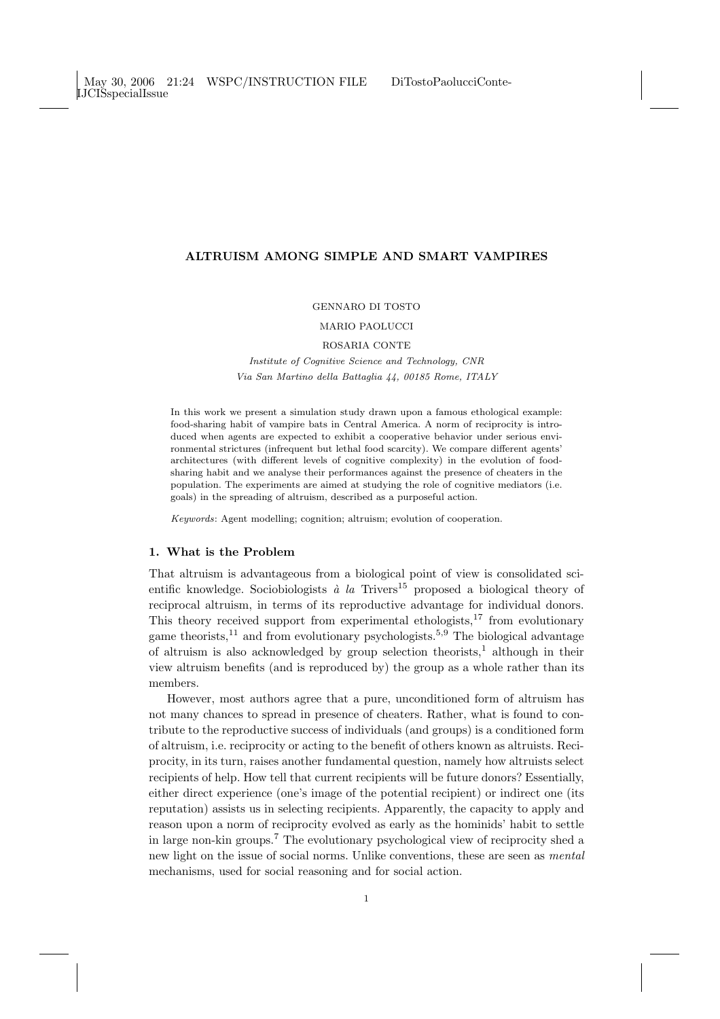### ALTRUISM AMONG SIMPLE AND SMART VAMPIRES

GENNARO DI TOSTO

MARIO PAOLUCCI

ROSARIA CONTE

Institute of Cognitive Science and Technology, CNR Via San Martino della Battaglia 44, 00185 Rome, ITALY

In this work we present a simulation study drawn upon a famous ethological example: food-sharing habit of vampire bats in Central America. A norm of reciprocity is introduced when agents are expected to exhibit a cooperative behavior under serious environmental strictures (infrequent but lethal food scarcity). We compare different agents' architectures (with different levels of cognitive complexity) in the evolution of foodsharing habit and we analyse their performances against the presence of cheaters in the population. The experiments are aimed at studying the role of cognitive mediators (i.e. goals) in the spreading of altruism, described as a purposeful action.

Keywords: Agent modelling; cognition; altruism; evolution of cooperation.

#### 1. What is the Problem

That altruism is advantageous from a biological point of view is consolidated scientific knowledge. Sociobiologists  $\hat{a}$  la Trivers<sup>15</sup> proposed a biological theory of reciprocal altruism, in terms of its reproductive advantage for individual donors. This theory received support from experimental ethologists, $17$  from evolutionary game theorists, $^{11}$  and from evolutionary psychologists.<sup>5,9</sup> The biological advantage of altruism is also acknowledged by group selection theorists,<sup>1</sup> although in their view altruism benefits (and is reproduced by) the group as a whole rather than its members.

However, most authors agree that a pure, unconditioned form of altruism has not many chances to spread in presence of cheaters. Rather, what is found to contribute to the reproductive success of individuals (and groups) is a conditioned form of altruism, i.e. reciprocity or acting to the benefit of others known as altruists. Reciprocity, in its turn, raises another fundamental question, namely how altruists select recipients of help. How tell that current recipients will be future donors? Essentially, either direct experience (one's image of the potential recipient) or indirect one (its reputation) assists us in selecting recipients. Apparently, the capacity to apply and reason upon a norm of reciprocity evolved as early as the hominids' habit to settle in large non-kin groups.<sup>7</sup> The evolutionary psychological view of reciprocity shed a new light on the issue of social norms. Unlike conventions, these are seen as mental mechanisms, used for social reasoning and for social action.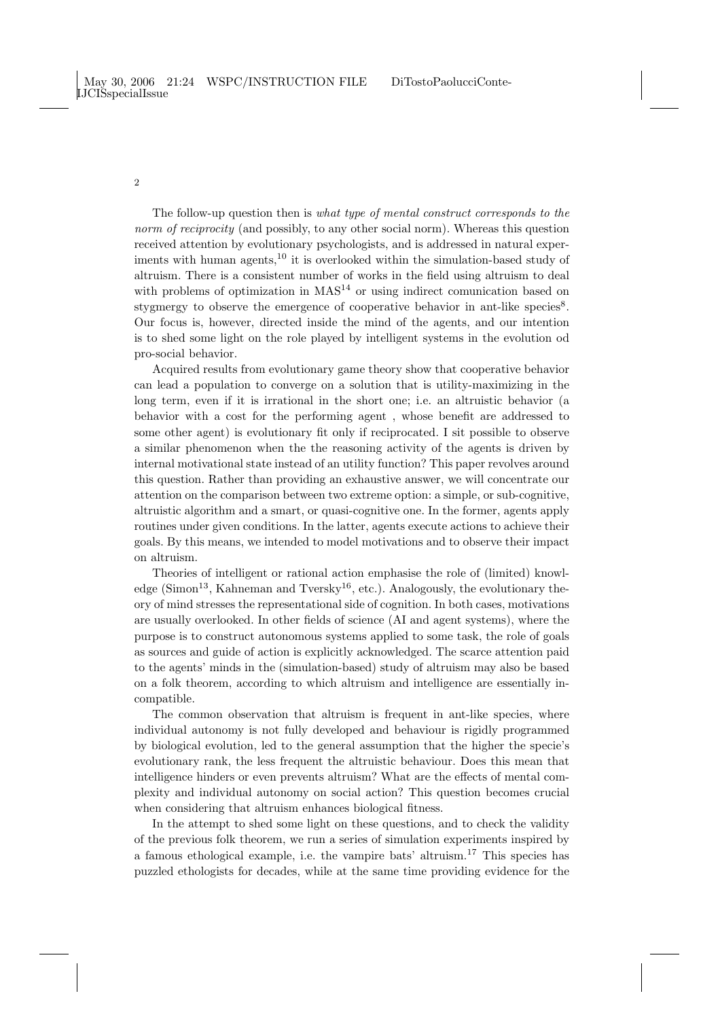May 30, 2006 21:24 WSPC/INSTRUCTION FILE DiTostoPaolucciConte-IJCISspecialIssue

2

The follow-up question then is what type of mental construct corresponds to the norm of reciprocity (and possibly, to any other social norm). Whereas this question received attention by evolutionary psychologists, and is addressed in natural experiments with human agents, $10$  it is overlooked within the simulation-based study of altruism. There is a consistent number of works in the field using altruism to deal with problems of optimization in MAS<sup>14</sup> or using indirect comunication based on stygmergy to observe the emergence of cooperative behavior in ant-like species<sup>8</sup>. Our focus is, however, directed inside the mind of the agents, and our intention is to shed some light on the role played by intelligent systems in the evolution od pro-social behavior.

Acquired results from evolutionary game theory show that cooperative behavior can lead a population to converge on a solution that is utility-maximizing in the long term, even if it is irrational in the short one; i.e. an altruistic behavior (a behavior with a cost for the performing agent , whose benefit are addressed to some other agent) is evolutionary fit only if reciprocated. I sit possible to observe a similar phenomenon when the the reasoning activity of the agents is driven by internal motivational state instead of an utility function? This paper revolves around this question. Rather than providing an exhaustive answer, we will concentrate our attention on the comparison between two extreme option: a simple, or sub-cognitive, altruistic algorithm and a smart, or quasi-cognitive one. In the former, agents apply routines under given conditions. In the latter, agents execute actions to achieve their goals. By this means, we intended to model motivations and to observe their impact on altruism.

Theories of intelligent or rational action emphasise the role of (limited) knowledge (Simon<sup>13</sup>, Kahneman and Tversky<sup>16</sup>, etc.). Analogously, the evolutionary theory of mind stresses the representational side of cognition. In both cases, motivations are usually overlooked. In other fields of science (AI and agent systems), where the purpose is to construct autonomous systems applied to some task, the role of goals as sources and guide of action is explicitly acknowledged. The scarce attention paid to the agents' minds in the (simulation-based) study of altruism may also be based on a folk theorem, according to which altruism and intelligence are essentially incompatible.

The common observation that altruism is frequent in ant-like species, where individual autonomy is not fully developed and behaviour is rigidly programmed by biological evolution, led to the general assumption that the higher the specie's evolutionary rank, the less frequent the altruistic behaviour. Does this mean that intelligence hinders or even prevents altruism? What are the effects of mental complexity and individual autonomy on social action? This question becomes crucial when considering that altruism enhances biological fitness.

In the attempt to shed some light on these questions, and to check the validity of the previous folk theorem, we run a series of simulation experiments inspired by a famous ethological example, i.e. the vampire bats' altruism.<sup>17</sup> This species has puzzled ethologists for decades, while at the same time providing evidence for the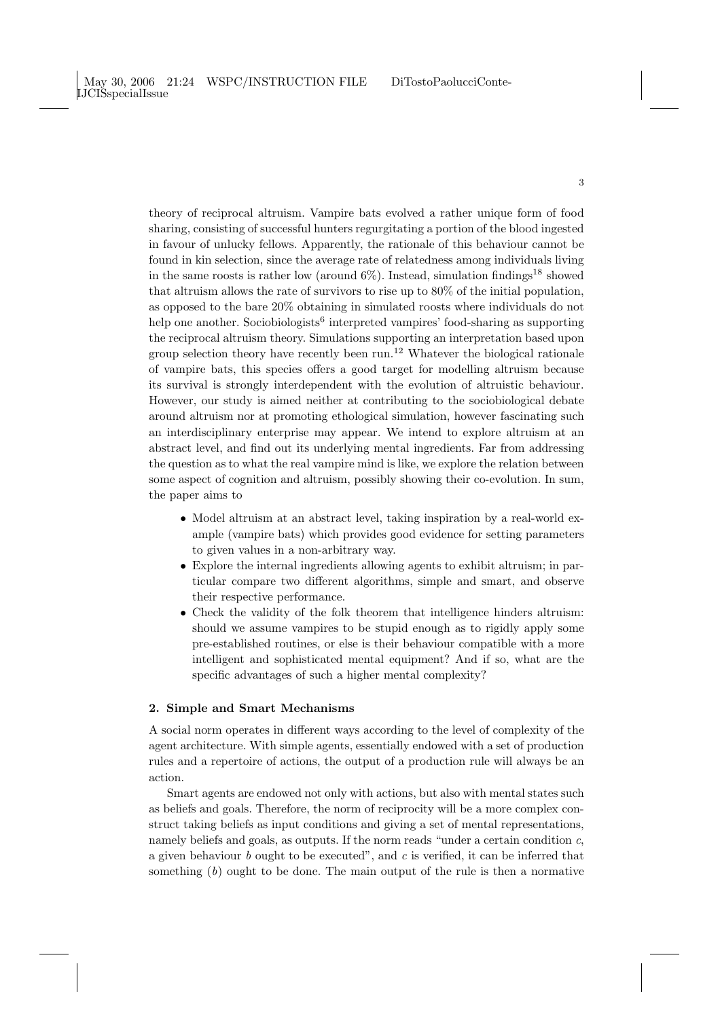theory of reciprocal altruism. Vampire bats evolved a rather unique form of food sharing, consisting of successful hunters regurgitating a portion of the blood ingested in favour of unlucky fellows. Apparently, the rationale of this behaviour cannot be found in kin selection, since the average rate of relatedness among individuals living in the same roosts is rather low (around  $6\%$ ). Instead, simulation findings<sup>18</sup> showed that altruism allows the rate of survivors to rise up to 80% of the initial population, as opposed to the bare 20% obtaining in simulated roosts where individuals do not help one another. Sociobiologists<sup>6</sup> interpreted vampires' food-sharing as supporting the reciprocal altruism theory. Simulations supporting an interpretation based upon group selection theory have recently been run.<sup>12</sup> Whatever the biological rationale of vampire bats, this species offers a good target for modelling altruism because its survival is strongly interdependent with the evolution of altruistic behaviour. However, our study is aimed neither at contributing to the sociobiological debate around altruism nor at promoting ethological simulation, however fascinating such an interdisciplinary enterprise may appear. We intend to explore altruism at an abstract level, and find out its underlying mental ingredients. Far from addressing the question as to what the real vampire mind is like, we explore the relation between some aspect of cognition and altruism, possibly showing their co-evolution. In sum, the paper aims to

- Model altruism at an abstract level, taking inspiration by a real-world example (vampire bats) which provides good evidence for setting parameters to given values in a non-arbitrary way.
- Explore the internal ingredients allowing agents to exhibit altruism; in particular compare two different algorithms, simple and smart, and observe their respective performance.
- Check the validity of the folk theorem that intelligence hinders altruism: should we assume vampires to be stupid enough as to rigidly apply some pre-established routines, or else is their behaviour compatible with a more intelligent and sophisticated mental equipment? And if so, what are the specific advantages of such a higher mental complexity?

## 2. Simple and Smart Mechanisms

A social norm operates in different ways according to the level of complexity of the agent architecture. With simple agents, essentially endowed with a set of production rules and a repertoire of actions, the output of a production rule will always be an action.

Smart agents are endowed not only with actions, but also with mental states such as beliefs and goals. Therefore, the norm of reciprocity will be a more complex construct taking beliefs as input conditions and giving a set of mental representations, namely beliefs and goals, as outputs. If the norm reads "under a certain condition c, a given behaviour  $b$  ought to be executed", and  $c$  is verified, it can be inferred that something  $(b)$  ought to be done. The main output of the rule is then a normative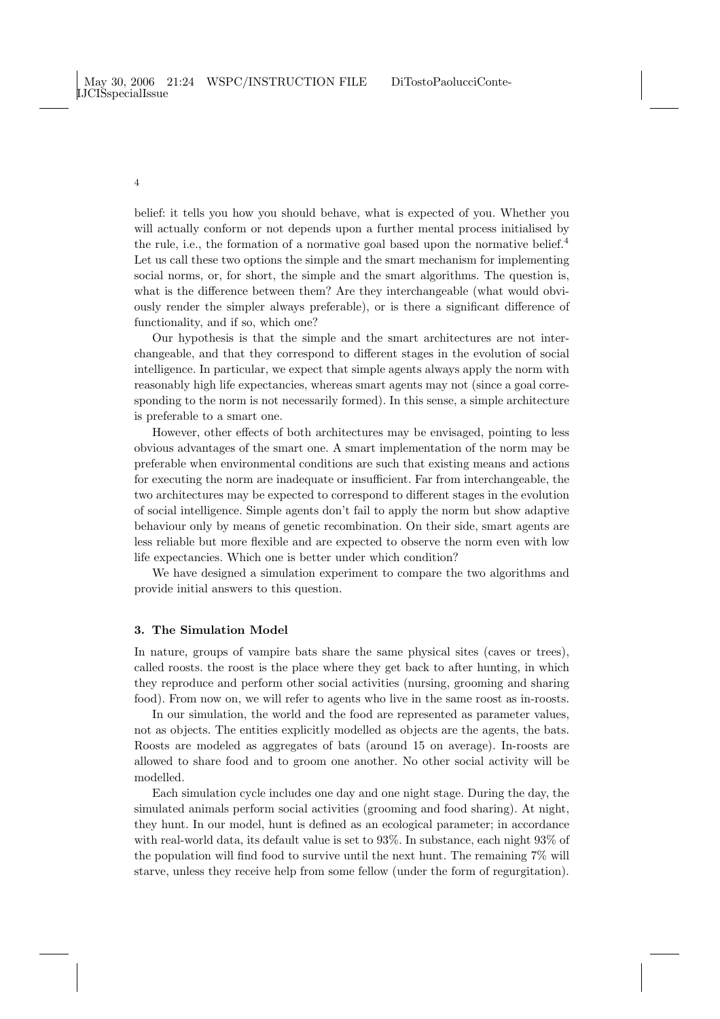May 30, 2006 21:24 WSPC/INSTRUCTION FILE DiTostoPaolucciConte-IJCISspecialIssue

4

belief: it tells you how you should behave, what is expected of you. Whether you will actually conform or not depends upon a further mental process initialised by the rule, i.e., the formation of a normative goal based upon the normative belief.<sup>4</sup> Let us call these two options the simple and the smart mechanism for implementing social norms, or, for short, the simple and the smart algorithms. The question is, what is the difference between them? Are they interchangeable (what would obviously render the simpler always preferable), or is there a significant difference of functionality, and if so, which one?

Our hypothesis is that the simple and the smart architectures are not interchangeable, and that they correspond to different stages in the evolution of social intelligence. In particular, we expect that simple agents always apply the norm with reasonably high life expectancies, whereas smart agents may not (since a goal corresponding to the norm is not necessarily formed). In this sense, a simple architecture is preferable to a smart one.

However, other effects of both architectures may be envisaged, pointing to less obvious advantages of the smart one. A smart implementation of the norm may be preferable when environmental conditions are such that existing means and actions for executing the norm are inadequate or insufficient. Far from interchangeable, the two architectures may be expected to correspond to different stages in the evolution of social intelligence. Simple agents don't fail to apply the norm but show adaptive behaviour only by means of genetic recombination. On their side, smart agents are less reliable but more flexible and are expected to observe the norm even with low life expectancies. Which one is better under which condition?

We have designed a simulation experiment to compare the two algorithms and provide initial answers to this question.

### 3. The Simulation Model

In nature, groups of vampire bats share the same physical sites (caves or trees), called roosts. the roost is the place where they get back to after hunting, in which they reproduce and perform other social activities (nursing, grooming and sharing food). From now on, we will refer to agents who live in the same roost as in-roosts.

In our simulation, the world and the food are represented as parameter values, not as objects. The entities explicitly modelled as objects are the agents, the bats. Roosts are modeled as aggregates of bats (around 15 on average). In-roosts are allowed to share food and to groom one another. No other social activity will be modelled.

Each simulation cycle includes one day and one night stage. During the day, the simulated animals perform social activities (grooming and food sharing). At night, they hunt. In our model, hunt is defined as an ecological parameter; in accordance with real-world data, its default value is set to 93%. In substance, each night 93% of the population will find food to survive until the next hunt. The remaining 7% will starve, unless they receive help from some fellow (under the form of regurgitation).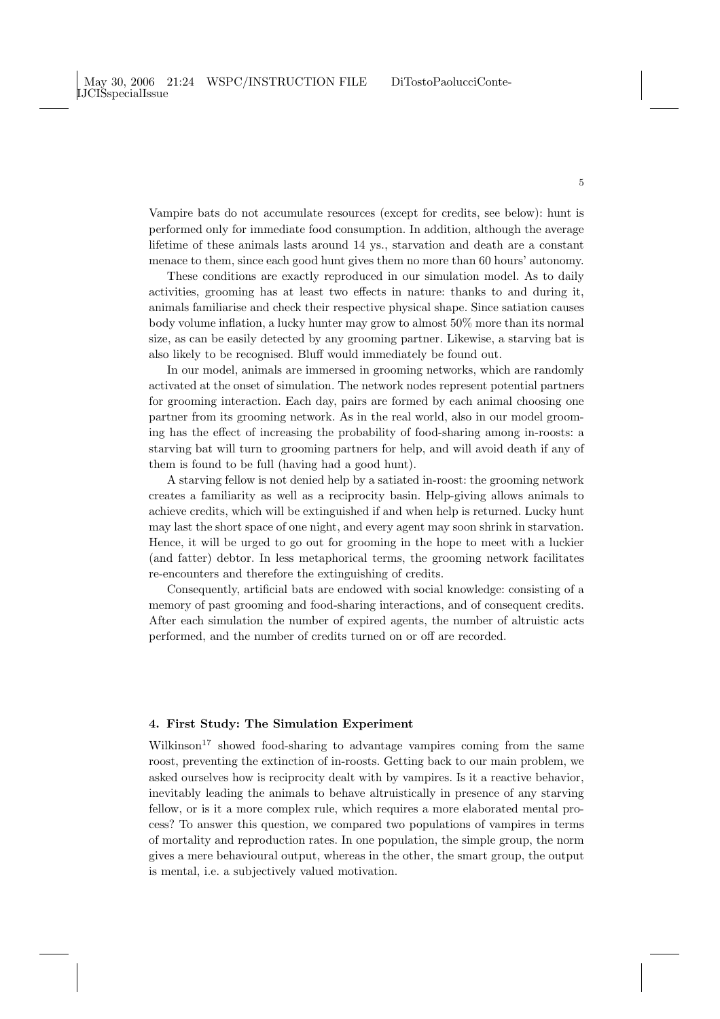Vampire bats do not accumulate resources (except for credits, see below): hunt is performed only for immediate food consumption. In addition, although the average lifetime of these animals lasts around 14 ys., starvation and death are a constant menace to them, since each good hunt gives them no more than 60 hours' autonomy.

These conditions are exactly reproduced in our simulation model. As to daily activities, grooming has at least two effects in nature: thanks to and during it, animals familiarise and check their respective physical shape. Since satiation causes body volume inflation, a lucky hunter may grow to almost 50% more than its normal size, as can be easily detected by any grooming partner. Likewise, a starving bat is also likely to be recognised. Bluff would immediately be found out.

In our model, animals are immersed in grooming networks, which are randomly activated at the onset of simulation. The network nodes represent potential partners for grooming interaction. Each day, pairs are formed by each animal choosing one partner from its grooming network. As in the real world, also in our model grooming has the effect of increasing the probability of food-sharing among in-roosts: a starving bat will turn to grooming partners for help, and will avoid death if any of them is found to be full (having had a good hunt).

A starving fellow is not denied help by a satiated in-roost: the grooming network creates a familiarity as well as a reciprocity basin. Help-giving allows animals to achieve credits, which will be extinguished if and when help is returned. Lucky hunt may last the short space of one night, and every agent may soon shrink in starvation. Hence, it will be urged to go out for grooming in the hope to meet with a luckier (and fatter) debtor. In less metaphorical terms, the grooming network facilitates re-encounters and therefore the extinguishing of credits.

Consequently, artificial bats are endowed with social knowledge: consisting of a memory of past grooming and food-sharing interactions, and of consequent credits. After each simulation the number of expired agents, the number of altruistic acts performed, and the number of credits turned on or off are recorded.

# 4. First Study: The Simulation Experiment

Wilkinson<sup>17</sup> showed food-sharing to advantage vampires coming from the same roost, preventing the extinction of in-roosts. Getting back to our main problem, we asked ourselves how is reciprocity dealt with by vampires. Is it a reactive behavior, inevitably leading the animals to behave altruistically in presence of any starving fellow, or is it a more complex rule, which requires a more elaborated mental process? To answer this question, we compared two populations of vampires in terms of mortality and reproduction rates. In one population, the simple group, the norm gives a mere behavioural output, whereas in the other, the smart group, the output is mental, i.e. a subjectively valued motivation.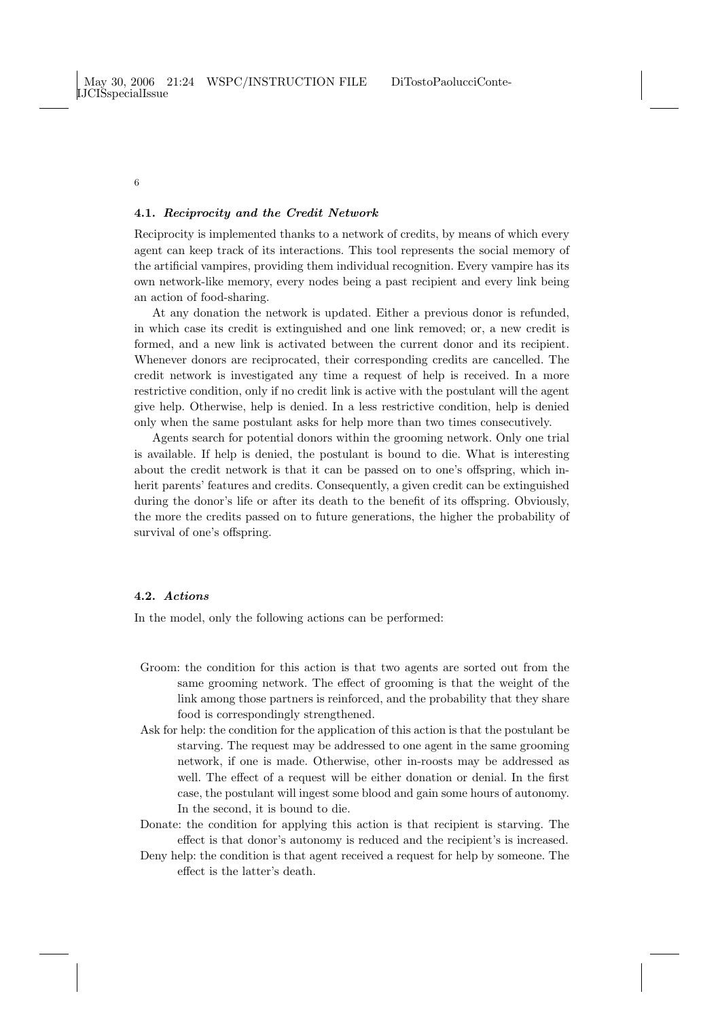# 4.1. Reciprocity and the Credit Network

Reciprocity is implemented thanks to a network of credits, by means of which every agent can keep track of its interactions. This tool represents the social memory of the artificial vampires, providing them individual recognition. Every vampire has its own network-like memory, every nodes being a past recipient and every link being an action of food-sharing.

At any donation the network is updated. Either a previous donor is refunded, in which case its credit is extinguished and one link removed; or, a new credit is formed, and a new link is activated between the current donor and its recipient. Whenever donors are reciprocated, their corresponding credits are cancelled. The credit network is investigated any time a request of help is received. In a more restrictive condition, only if no credit link is active with the postulant will the agent give help. Otherwise, help is denied. In a less restrictive condition, help is denied only when the same postulant asks for help more than two times consecutively.

Agents search for potential donors within the grooming network. Only one trial is available. If help is denied, the postulant is bound to die. What is interesting about the credit network is that it can be passed on to one's offspring, which inherit parents' features and credits. Consequently, a given credit can be extinguished during the donor's life or after its death to the benefit of its offspring. Obviously, the more the credits passed on to future generations, the higher the probability of survival of one's offspring.

## 4.2. Actions

In the model, only the following actions can be performed:

- Groom: the condition for this action is that two agents are sorted out from the same grooming network. The effect of grooming is that the weight of the link among those partners is reinforced, and the probability that they share food is correspondingly strengthened.
- Ask for help: the condition for the application of this action is that the postulant be starving. The request may be addressed to one agent in the same grooming network, if one is made. Otherwise, other in-roosts may be addressed as well. The effect of a request will be either donation or denial. In the first case, the postulant will ingest some blood and gain some hours of autonomy. In the second, it is bound to die.
- Donate: the condition for applying this action is that recipient is starving. The effect is that donor's autonomy is reduced and the recipient's is increased.
- Deny help: the condition is that agent received a request for help by someone. The effect is the latter's death.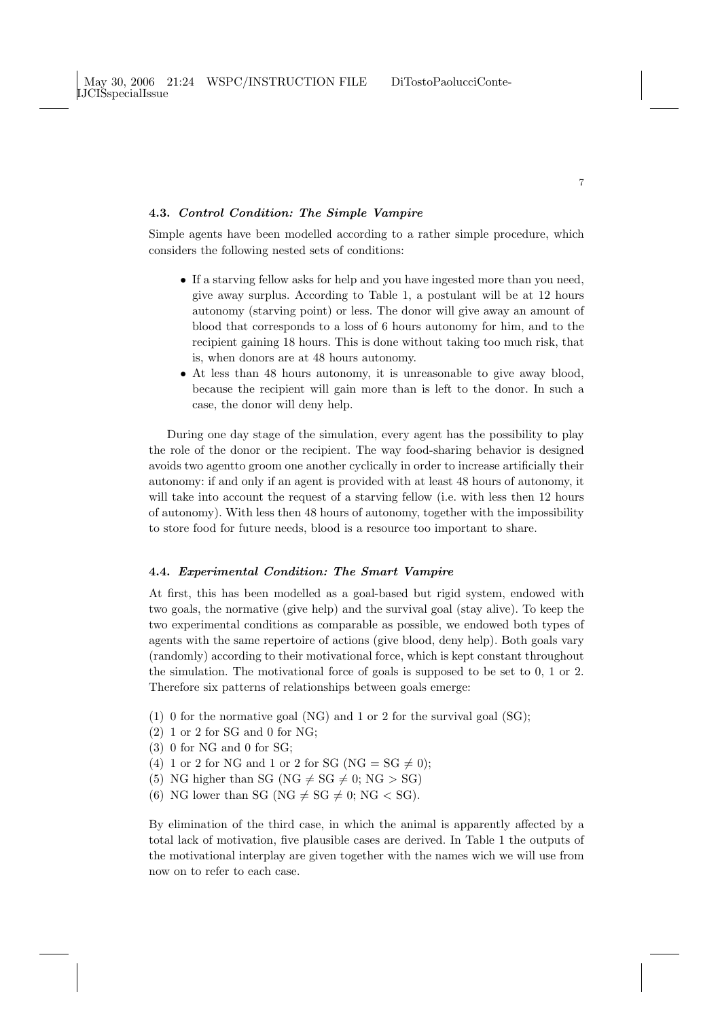#### 4.3. Control Condition: The Simple Vampire

Simple agents have been modelled according to a rather simple procedure, which considers the following nested sets of conditions:

- If a starving fellow asks for help and you have ingested more than you need, give away surplus. According to Table 1, a postulant will be at 12 hours autonomy (starving point) or less. The donor will give away an amount of blood that corresponds to a loss of 6 hours autonomy for him, and to the recipient gaining 18 hours. This is done without taking too much risk, that is, when donors are at 48 hours autonomy.
- At less than 48 hours autonomy, it is unreasonable to give away blood, because the recipient will gain more than is left to the donor. In such a case, the donor will deny help.

During one day stage of the simulation, every agent has the possibility to play the role of the donor or the recipient. The way food-sharing behavior is designed avoids two agentto groom one another cyclically in order to increase artificially their autonomy: if and only if an agent is provided with at least 48 hours of autonomy, it will take into account the request of a starving fellow (i.e. with less then 12 hours of autonomy). With less then 48 hours of autonomy, together with the impossibility to store food for future needs, blood is a resource too important to share.

### 4.4. Experimental Condition: The Smart Vampire

At first, this has been modelled as a goal-based but rigid system, endowed with two goals, the normative (give help) and the survival goal (stay alive). To keep the two experimental conditions as comparable as possible, we endowed both types of agents with the same repertoire of actions (give blood, deny help). Both goals vary (randomly) according to their motivational force, which is kept constant throughout the simulation. The motivational force of goals is supposed to be set to 0, 1 or 2. Therefore six patterns of relationships between goals emerge:

- (1) 0 for the normative goal  $(NG)$  and 1 or 2 for the survival goal  $(SG)$ ;
- (2) 1 or 2 for SG and 0 for NG;
- (3) 0 for NG and 0 for SG;
- (4) 1 or 2 for NG and 1 or 2 for SG (NG =  $SG \neq 0$ );
- (5) NG higher than SG (NG  $\neq$  SG  $\neq$  0; NG  $>$  SG)
- (6) NG lower than SG (NG  $\neq$  SG  $\neq$  0; NG  $<$  SG).

By elimination of the third case, in which the animal is apparently affected by a total lack of motivation, five plausible cases are derived. In Table 1 the outputs of the motivational interplay are given together with the names wich we will use from now on to refer to each case.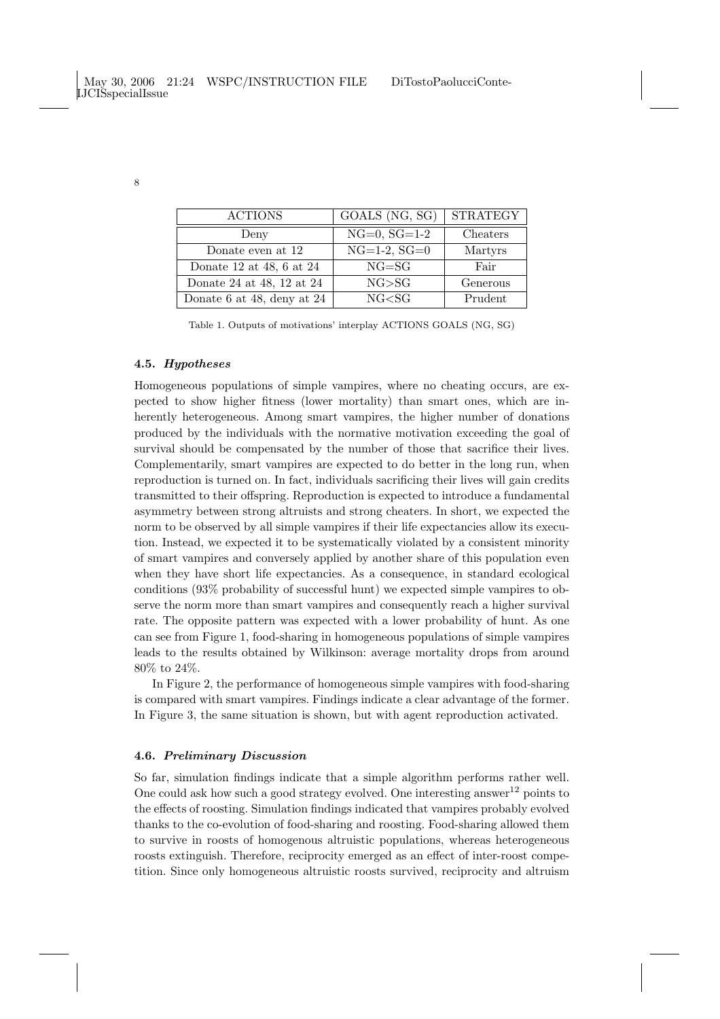| <b>ACTIONS</b>             | GOALS (NG, SG) | <b>STRATEGY</b> |
|----------------------------|----------------|-----------------|
| Deny                       | $NG=0, SG=1-2$ | Cheaters        |
| Donate even at $12\,$      | $NG=1-2, SG=0$ | Martyrs         |
| Donate 12 at 48, 6 at 24   | $NG = SG$      | Fair            |
| Donate 24 at 48, 12 at 24  | $NG > S$ G     | Generous        |
| Donate 6 at 48, deny at 24 | NG < SG        | Prudent         |

Table 1. Outputs of motivations' interplay ACTIONS GOALS (NG, SG)

### 4.5. Hypotheses

Homogeneous populations of simple vampires, where no cheating occurs, are expected to show higher fitness (lower mortality) than smart ones, which are inherently heterogeneous. Among smart vampires, the higher number of donations produced by the individuals with the normative motivation exceeding the goal of survival should be compensated by the number of those that sacrifice their lives. Complementarily, smart vampires are expected to do better in the long run, when reproduction is turned on. In fact, individuals sacrificing their lives will gain credits transmitted to their offspring. Reproduction is expected to introduce a fundamental asymmetry between strong altruists and strong cheaters. In short, we expected the norm to be observed by all simple vampires if their life expectancies allow its execution. Instead, we expected it to be systematically violated by a consistent minority of smart vampires and conversely applied by another share of this population even when they have short life expectancies. As a consequence, in standard ecological conditions (93% probability of successful hunt) we expected simple vampires to observe the norm more than smart vampires and consequently reach a higher survival rate. The opposite pattern was expected with a lower probability of hunt. As one can see from Figure 1, food-sharing in homogeneous populations of simple vampires leads to the results obtained by Wilkinson: average mortality drops from around 80% to 24%.

In Figure 2, the performance of homogeneous simple vampires with food-sharing is compared with smart vampires. Findings indicate a clear advantage of the former. In Figure 3, the same situation is shown, but with agent reproduction activated.

### 4.6. Preliminary Discussion

So far, simulation findings indicate that a simple algorithm performs rather well. One could ask how such a good strategy evolved. One interesting answer<sup>12</sup> points to the effects of roosting. Simulation findings indicated that vampires probably evolved thanks to the co-evolution of food-sharing and roosting. Food-sharing allowed them to survive in roosts of homogenous altruistic populations, whereas heterogeneous roosts extinguish. Therefore, reciprocity emerged as an effect of inter-roost competition. Since only homogeneous altruistic roosts survived, reciprocity and altruism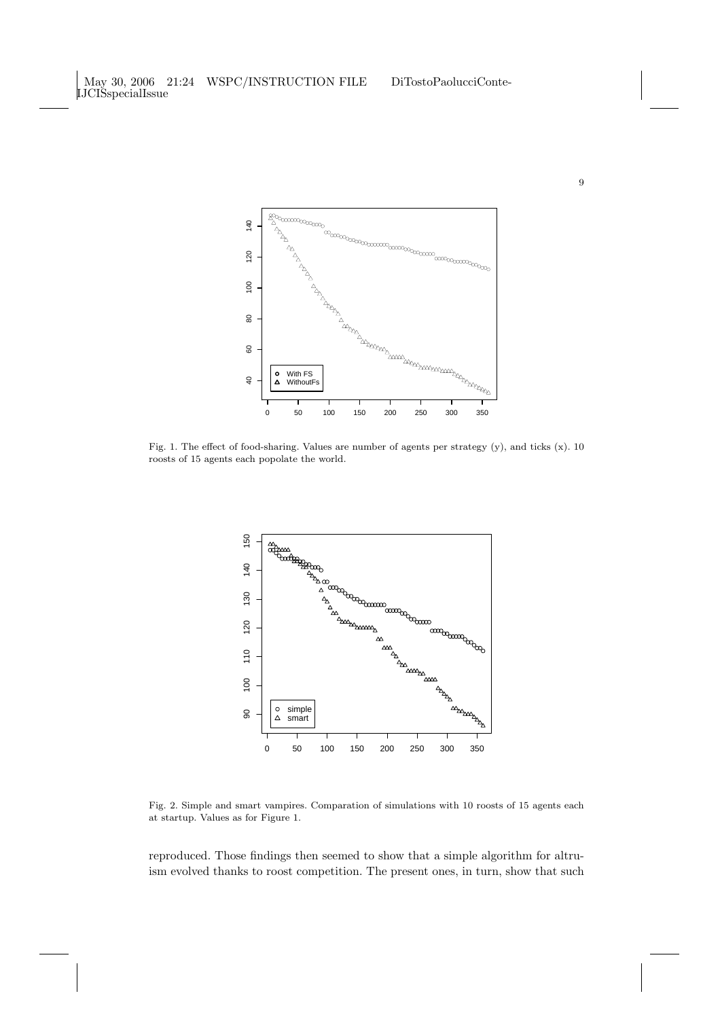May 30, 2006 21:24 WSPC/INSTRUCTION FILE DiTostoPaolucciConte-IJCISspecialIssue



Fig. 1. The effect of food-sharing. Values are number of agents per strategy (y), and ticks (x). 10 roosts of 15 agents each popolate the world.



Fig. 2. Simple and smart vampires. Comparation of simulations with 10 roosts of 15 agents each at startup. Values as for Figure 1.

reproduced. Those findings then seemed to show that a simple algorithm for altruism evolved thanks to roost competition. The present ones, in turn, show that such

9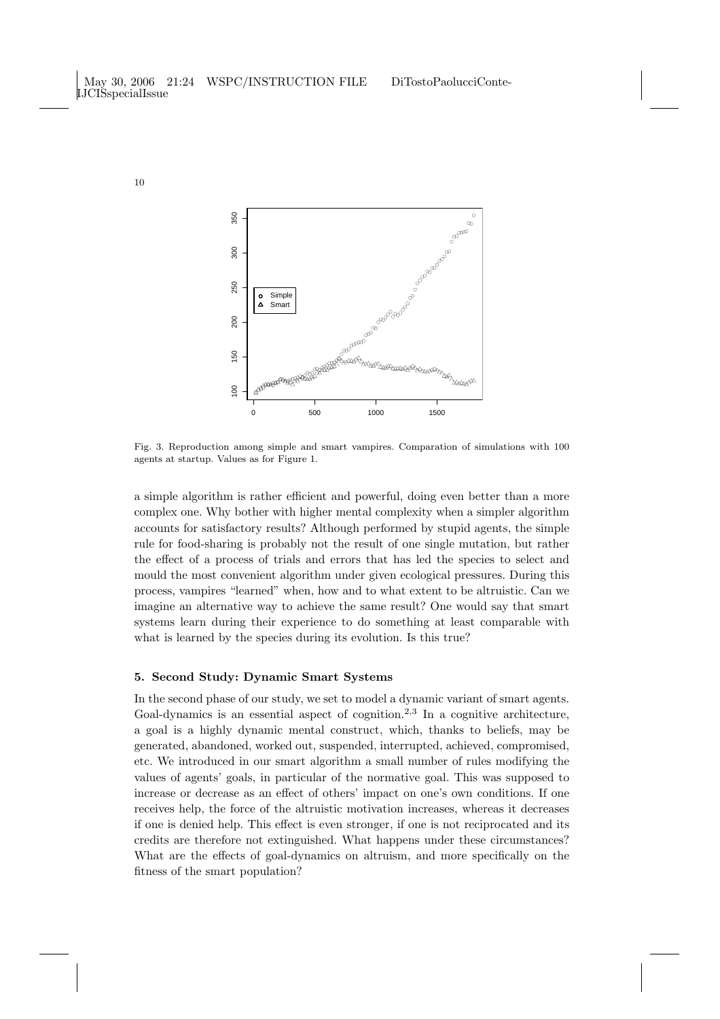

Fig. 3. Reproduction among simple and smart vampires. Comparation of simulations with 100 agents at startup. Values as for Figure 1.

a simple algorithm is rather efficient and powerful, doing even better than a more complex one. Why bother with higher mental complexity when a simpler algorithm accounts for satisfactory results? Although performed by stupid agents, the simple rule for food-sharing is probably not the result of one single mutation, but rather the effect of a process of trials and errors that has led the species to select and mould the most convenient algorithm under given ecological pressures. During this process, vampires "learned" when, how and to what extent to be altruistic. Can we imagine an alternative way to achieve the same result? One would say that smart systems learn during their experience to do something at least comparable with what is learned by the species during its evolution. Is this true?

## 5. Second Study: Dynamic Smart Systems

In the second phase of our study, we set to model a dynamic variant of smart agents. Goal-dynamics is an essential aspect of cognition.<sup>2,3</sup> In a cognitive architecture, a goal is a highly dynamic mental construct, which, thanks to beliefs, may be generated, abandoned, worked out, suspended, interrupted, achieved, compromised, etc. We introduced in our smart algorithm a small number of rules modifying the values of agents' goals, in particular of the normative goal. This was supposed to increase or decrease as an effect of others' impact on one's own conditions. If one receives help, the force of the altruistic motivation increases, whereas it decreases if one is denied help. This effect is even stronger, if one is not reciprocated and its credits are therefore not extinguished. What happens under these circumstances? What are the effects of goal-dynamics on altruism, and more specifically on the fitness of the smart population?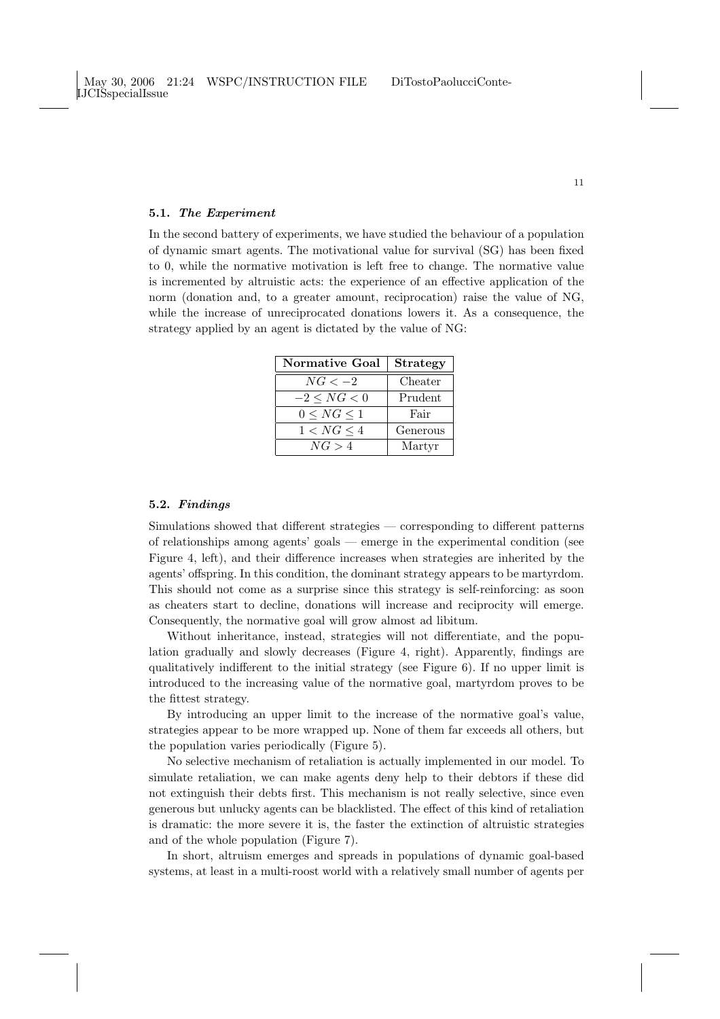#### 5.1. The Experiment

In the second battery of experiments, we have studied the behaviour of a population of dynamic smart agents. The motivational value for survival (SG) has been fixed to 0, while the normative motivation is left free to change. The normative value is incremented by altruistic acts: the experience of an effective application of the norm (donation and, to a greater amount, reciprocation) raise the value of NG, while the increase of unreciprocated donations lowers it. As a consequence, the strategy applied by an agent is dictated by the value of NG:

| Normative Goal   | Strategy |
|------------------|----------|
| $NG < -2$        | Cheater  |
| $-2 \le NG < 0$  | Prudent  |
| $0 \le NG \le 1$ | Fair     |
| 1 < NG < 4       | Generous |
| NG > 4           | Martyr   |

#### 5.2. Findings

Simulations showed that different strategies — corresponding to different patterns of relationships among agents' goals — emerge in the experimental condition (see Figure 4, left), and their difference increases when strategies are inherited by the agents' offspring. In this condition, the dominant strategy appears to be martyrdom. This should not come as a surprise since this strategy is self-reinforcing: as soon as cheaters start to decline, donations will increase and reciprocity will emerge. Consequently, the normative goal will grow almost ad libitum.

Without inheritance, instead, strategies will not differentiate, and the population gradually and slowly decreases (Figure 4, right). Apparently, findings are qualitatively indifferent to the initial strategy (see Figure 6). If no upper limit is introduced to the increasing value of the normative goal, martyrdom proves to be the fittest strategy.

By introducing an upper limit to the increase of the normative goal's value, strategies appear to be more wrapped up. None of them far exceeds all others, but the population varies periodically (Figure 5).

No selective mechanism of retaliation is actually implemented in our model. To simulate retaliation, we can make agents deny help to their debtors if these did not extinguish their debts first. This mechanism is not really selective, since even generous but unlucky agents can be blacklisted. The effect of this kind of retaliation is dramatic: the more severe it is, the faster the extinction of altruistic strategies and of the whole population (Figure 7).

In short, altruism emerges and spreads in populations of dynamic goal-based systems, at least in a multi-roost world with a relatively small number of agents per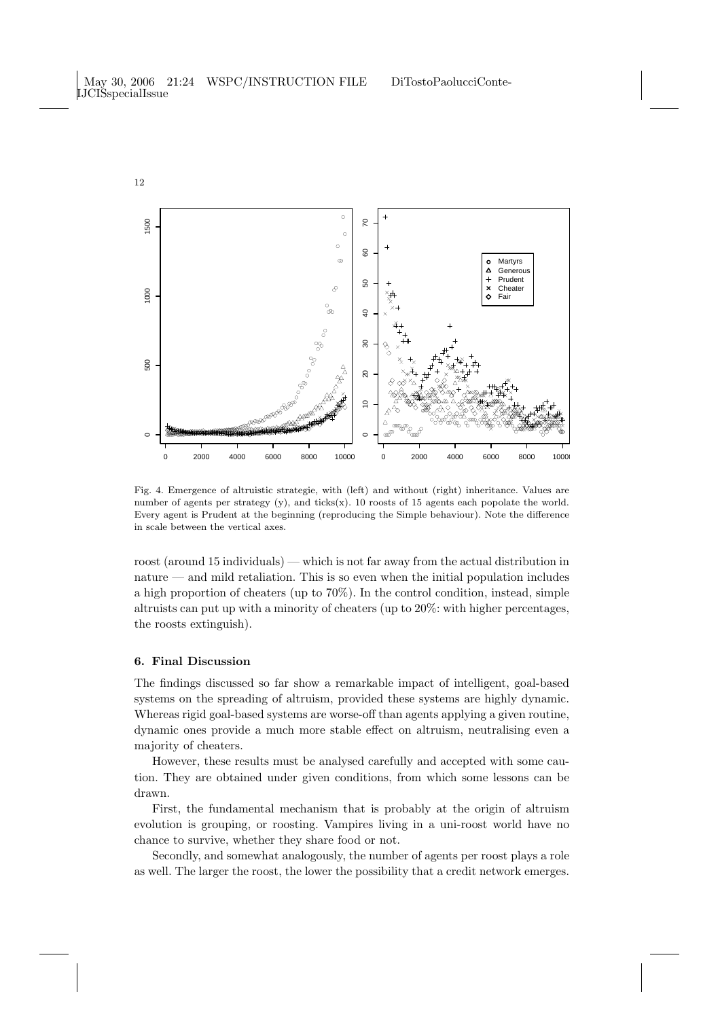

Fig. 4. Emergence of altruistic strategie, with (left) and without (right) inheritance. Values are number of agents per strategy  $(y)$ , and ticks $(x)$ . 10 roosts of 15 agents each popolate the world. Every agent is Prudent at the beginning (reproducing the Simple behaviour). Note the difference in scale between the vertical axes.

roost (around 15 individuals) — which is not far away from the actual distribution in nature — and mild retaliation. This is so even when the initial population includes a high proportion of cheaters (up to 70%). In the control condition, instead, simple altruists can put up with a minority of cheaters (up to 20%: with higher percentages, the roosts extinguish).

#### 6. Final Discussion

The findings discussed so far show a remarkable impact of intelligent, goal-based systems on the spreading of altruism, provided these systems are highly dynamic. Whereas rigid goal-based systems are worse-off than agents applying a given routine, dynamic ones provide a much more stable effect on altruism, neutralising even a majority of cheaters.

However, these results must be analysed carefully and accepted with some caution. They are obtained under given conditions, from which some lessons can be drawn.

First, the fundamental mechanism that is probably at the origin of altruism evolution is grouping, or roosting. Vampires living in a uni-roost world have no chance to survive, whether they share food or not.

Secondly, and somewhat analogously, the number of agents per roost plays a role as well. The larger the roost, the lower the possibility that a credit network emerges.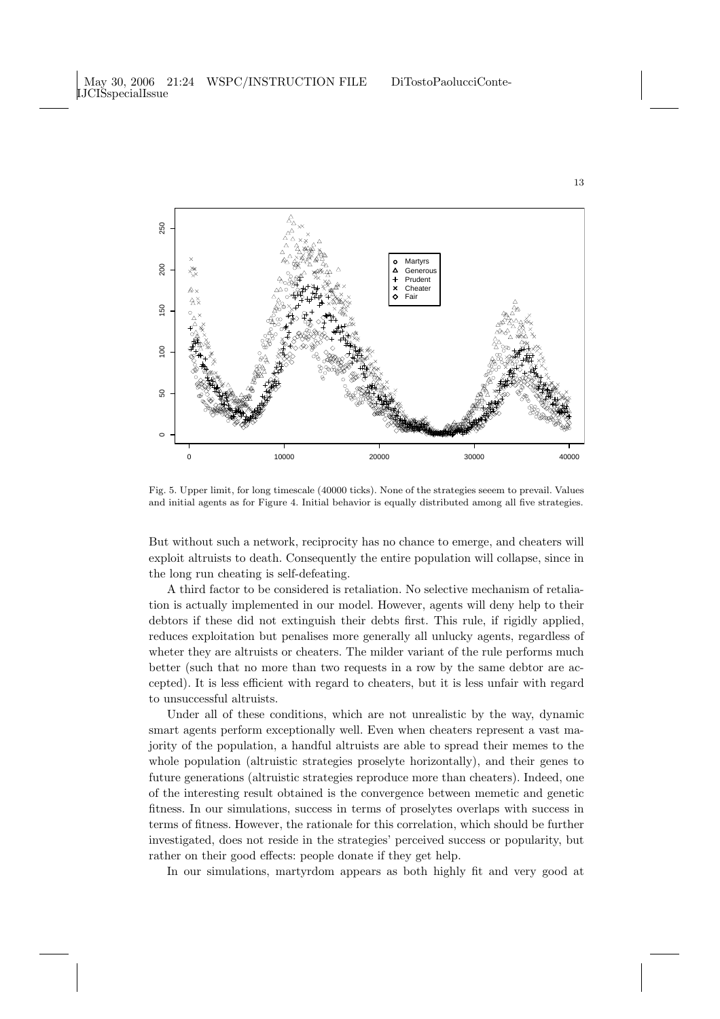

Fig. 5. Upper limit, for long timescale (40000 ticks). None of the strategies seeem to prevail. Values and initial agents as for Figure 4. Initial behavior is equally distributed among all five strategies.

But without such a network, reciprocity has no chance to emerge, and cheaters will exploit altruists to death. Consequently the entire population will collapse, since in the long run cheating is self-defeating.

A third factor to be considered is retaliation. No selective mechanism of retaliation is actually implemented in our model. However, agents will deny help to their debtors if these did not extinguish their debts first. This rule, if rigidly applied, reduces exploitation but penalises more generally all unlucky agents, regardless of wheter they are altruists or cheaters. The milder variant of the rule performs much better (such that no more than two requests in a row by the same debtor are accepted). It is less efficient with regard to cheaters, but it is less unfair with regard to unsuccessful altruists.

Under all of these conditions, which are not unrealistic by the way, dynamic smart agents perform exceptionally well. Even when cheaters represent a vast majority of the population, a handful altruists are able to spread their memes to the whole population (altruistic strategies proselyte horizontally), and their genes to future generations (altruistic strategies reproduce more than cheaters). Indeed, one of the interesting result obtained is the convergence between memetic and genetic fitness. In our simulations, success in terms of proselytes overlaps with success in terms of fitness. However, the rationale for this correlation, which should be further investigated, does not reside in the strategies' perceived success or popularity, but rather on their good effects: people donate if they get help.

In our simulations, martyrdom appears as both highly fit and very good at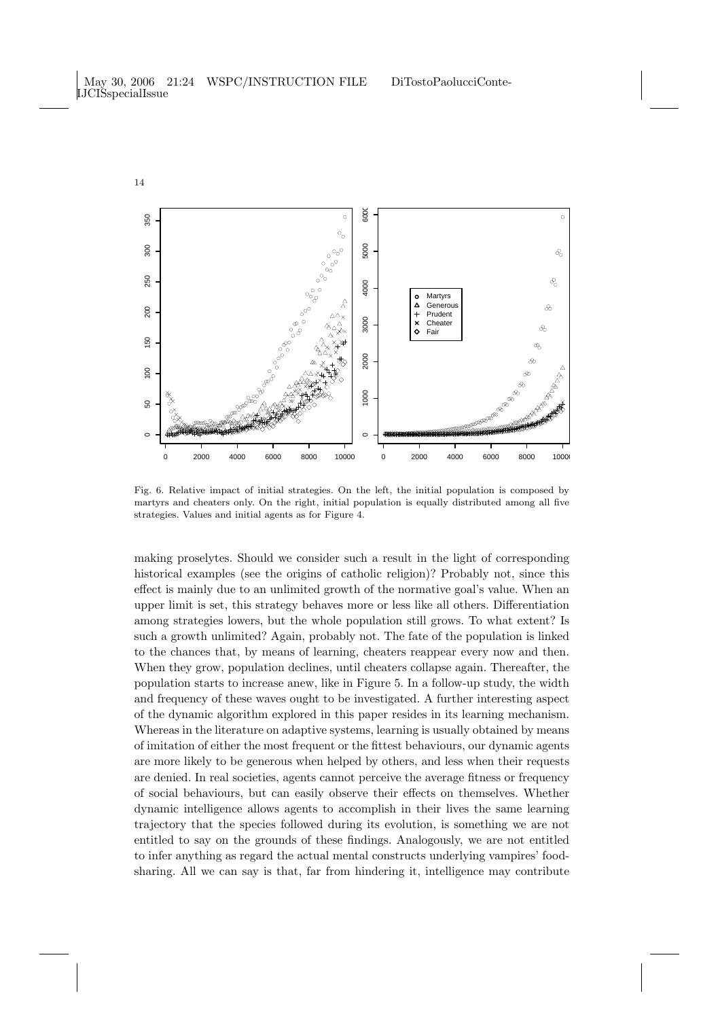

Fig. 6. Relative impact of initial strategies. On the left, the initial population is composed by martyrs and cheaters only. On the right, initial population is equally distributed among all five strategies. Values and initial agents as for Figure 4.

making proselytes. Should we consider such a result in the light of corresponding historical examples (see the origins of catholic religion)? Probably not, since this effect is mainly due to an unlimited growth of the normative goal's value. When an upper limit is set, this strategy behaves more or less like all others. Differentiation among strategies lowers, but the whole population still grows. To what extent? Is such a growth unlimited? Again, probably not. The fate of the population is linked to the chances that, by means of learning, cheaters reappear every now and then. When they grow, population declines, until cheaters collapse again. Thereafter, the population starts to increase anew, like in Figure 5. In a follow-up study, the width and frequency of these waves ought to be investigated. A further interesting aspect of the dynamic algorithm explored in this paper resides in its learning mechanism. Whereas in the literature on adaptive systems, learning is usually obtained by means of imitation of either the most frequent or the fittest behaviours, our dynamic agents are more likely to be generous when helped by others, and less when their requests are denied. In real societies, agents cannot perceive the average fitness or frequency of social behaviours, but can easily observe their effects on themselves. Whether dynamic intelligence allows agents to accomplish in their lives the same learning trajectory that the species followed during its evolution, is something we are not entitled to say on the grounds of these findings. Analogously, we are not entitled to infer anything as regard the actual mental constructs underlying vampires' foodsharing. All we can say is that, far from hindering it, intelligence may contribute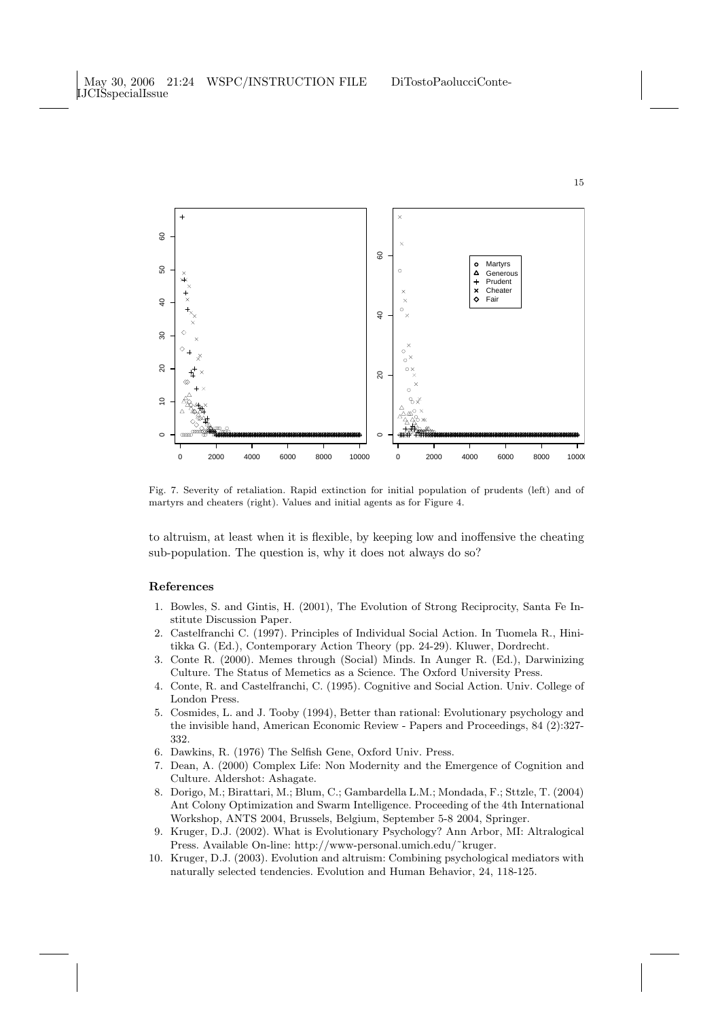

Fig. 7. Severity of retaliation. Rapid extinction for initial population of prudents (left) and of martyrs and cheaters (right). Values and initial agents as for Figure 4.

to altruism, at least when it is flexible, by keeping low and inoffensive the cheating sub-population. The question is, why it does not always do so?

## References

- 1. Bowles, S. and Gintis, H. (2001), The Evolution of Strong Reciprocity, Santa Fe Institute Discussion Paper.
- 2. Castelfranchi C. (1997). Principles of Individual Social Action. In Tuomela R., Hinitikka G. (Ed.), Contemporary Action Theory (pp. 24-29). Kluwer, Dordrecht.
- 3. Conte R. (2000). Memes through (Social) Minds. In Aunger R. (Ed.), Darwinizing Culture. The Status of Memetics as a Science. The Oxford University Press.
- 4. Conte, R. and Castelfranchi, C. (1995). Cognitive and Social Action. Univ. College of London Press.
- 5. Cosmides, L. and J. Tooby (1994), Better than rational: Evolutionary psychology and the invisible hand, American Economic Review - Papers and Proceedings, 84 (2):327- 332.
- 6. Dawkins, R. (1976) The Selfish Gene, Oxford Univ. Press.
- 7. Dean, A. (2000) Complex Life: Non Modernity and the Emergence of Cognition and Culture. Aldershot: Ashagate.
- 8. Dorigo, M.; Birattari, M.; Blum, C.; Gambardella L.M.; Mondada, F.; Sttzle, T. (2004) Ant Colony Optimization and Swarm Intelligence. Proceeding of the 4th International Workshop, ANTS 2004, Brussels, Belgium, September 5-8 2004, Springer.
- 9. Kruger, D.J. (2002). What is Evolutionary Psychology? Ann Arbor, MI: Altralogical Press. Available On-line: http://www-personal.umich.edu/˜kruger.
- 10. Kruger, D.J. (2003). Evolution and altruism: Combining psychological mediators with naturally selected tendencies. Evolution and Human Behavior, 24, 118-125.

15